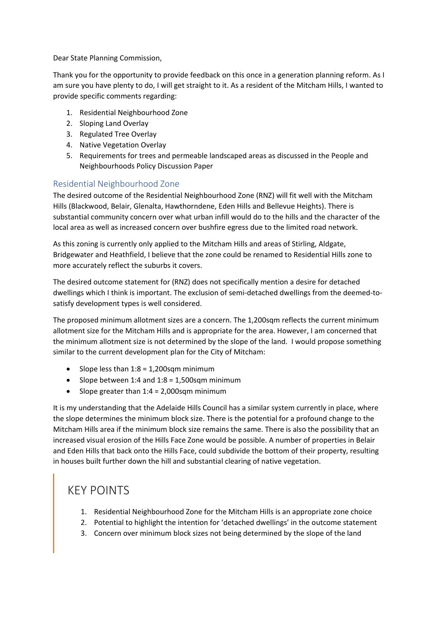Dear State Planning Commission,

Thank you for the opportunity to provide feedback on this once in a generation planning reform. As I am sure you have plenty to do, I will get straight to it. As a resident of the Mitcham Hills, I wanted to provide specific comments regarding:

- 1. Residential Neighbourhood Zone
- 2. Sloping Land Overlay
- 3. Regulated Tree Overlay
- 4. Native Vegetation Overlay
- 5. Requirements for trees and permeable landscaped areas as discussed in the People and Neighbourhoods Policy Discussion Paper

#### Residential Neighbourhood Zone

The desired outcome of the Residential Neighbourhood Zone (RNZ) will fit well with the Mitcham Hills (Blackwood, Belair, Glenalta, Hawthorndene, Eden Hills and Bellevue Heights). There is substantial community concern over what urban infill would do to the hills and the character of the local area as well as increased concern over bushfire egress due to the limited road network.

As this zoning is currently only applied to the Mitcham Hills and areas of Stirling, Aldgate, Bridgewater and Heathfield, I believe that the zone could be renamed to Residential Hills zone to more accurately reflect the suburbs it covers.

The desired outcome statement for (RNZ) does not specifically mention a desire for detached dwellings which I think is important. The exclusion of semi-detached dwellings from the deemed-tosatisfy development types is well considered.

The proposed minimum allotment sizes are a concern. The 1,200sqm reflects the current minimum allotment size for the Mitcham Hills and is appropriate for the area. However, I am concerned that the minimum allotment size is not determined by the slope of the land. I would propose something similar to the current development plan for the City of Mitcham:

- Slope less than  $1:8 = 1,200$ sqm minimum
- Slope between 1:4 and  $1:8 = 1,500$ sqm minimum
- Slope greater than  $1:4 = 2,000$ sqm minimum

It is my understanding that the Adelaide Hills Council has a similar system currently in place, where the slope determines the minimum block size. There is the potential for a profound change to the Mitcham Hills area if the minimum block size remains the same. There is also the possibility that an increased visual erosion of the Hills Face Zone would be possible. A number of properties in Belair and Eden Hills that back onto the Hills Face, could subdivide the bottom of their property, resulting in houses built further down the hill and substantial clearing of native vegetation.

# KEY POINTS

- 1. Residential Neighbourhood Zone for the Mitcham Hills is an appropriate zone choice
- 2. Potential to highlight the intention for 'detached dwellings' in the outcome statement
- 3. Concern over minimum block sizes not being determined by the slope of the land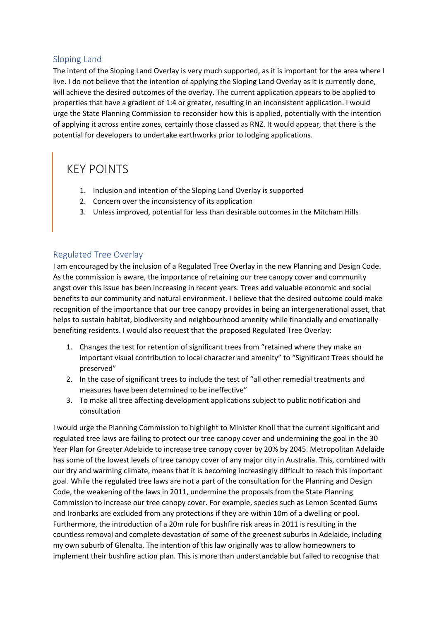#### Sloping Land

The intent of the Sloping Land Overlay is very much supported, as it is important for the area where I live. I do not believe that the intention of applying the Sloping Land Overlay as it is currently done, will achieve the desired outcomes of the overlay. The current application appears to be applied to properties that have a gradient of 1:4 or greater, resulting in an inconsistent application. I would urge the State Planning Commission to reconsider how this is applied, potentially with the intention of applying it across entire zones, certainly those classed as RNZ. It would appear, that there is the potential for developers to undertake earthworks prior to lodging applications.

# KEY POINTS

- 1. Inclusion and intention of the Sloping Land Overlay is supported
- 2. Concern over the inconsistency of its application
- 3. Unless improved, potential for less than desirable outcomes in the Mitcham Hills

#### Regulated Tree Overlay

I am encouraged by the inclusion of a Regulated Tree Overlay in the new Planning and Design Code. As the commission is aware, the importance of retaining our tree canopy cover and community angst over this issue has been increasing in recent years. Trees add valuable economic and social benefits to our community and natural environment. I believe that the desired outcome could make recognition of the importance that our tree canopy provides in being an intergenerational asset, that helps to sustain habitat, biodiversity and neighbourhood amenity while financially and emotionally benefiting residents. I would also request that the proposed Regulated Tree Overlay:

- 1. Changes the test for retention of significant trees from "retained where they make an important visual contribution to local character and amenity" to "Significant Trees should be preserved"
- 2. In the case of significant trees to include the test of "all other remedial treatments and measures have been determined to be ineffective"
- 3. To make all tree affecting development applications subject to public notification and consultation

I would urge the Planning Commission to highlight to Minister Knoll that the current significant and regulated tree laws are failing to protect our tree canopy cover and undermining the goal in the 30 Year Plan for Greater Adelaide to increase tree canopy cover by 20% by 2045. Metropolitan Adelaide has some of the lowest levels of tree canopy cover of any major city in Australia. This, combined with our dry and warming climate, means that it is becoming increasingly difficult to reach this important goal. While the regulated tree laws are not a part of the consultation for the Planning and Design Code, the weakening of the laws in 2011, undermine the proposals from the State Planning Commission to increase our tree canopy cover. For example, species such as Lemon Scented Gums and Ironbarks are excluded from any protections if they are within 10m of a dwelling or pool. Furthermore, the introduction of a 20m rule for bushfire risk areas in 2011 is resulting in the countless removal and complete devastation of some of the greenest suburbs in Adelaide, including my own suburb of Glenalta. The intention of this law originally was to allow homeowners to implement their bushfire action plan. This is more than understandable but failed to recognise that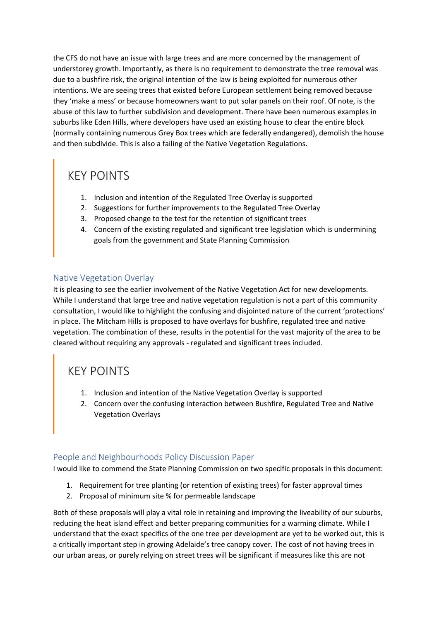the CFS do not have an issue with large trees and are more concerned by the management of understorey growth. Importantly, as there is no requirement to demonstrate the tree removal was due to a bushfire risk, the original intention of the law is being exploited for numerous other intentions. We are seeing trees that existed before European settlement being removed because they 'make a mess' or because homeowners want to put solar panels on their roof. Of note, is the abuse of this law to further subdivision and development. There have been numerous examples in suburbs like Eden Hills, where developers have used an existing house to clear the entire block (normally containing numerous Grey Box trees which are federally endangered), demolish the house and then subdivide. This is also a failing of the Native Vegetation Regulations.

# KEY POINTS

- 1. Inclusion and intention of the Regulated Tree Overlay is supported
- 2. Suggestions for further improvements to the Regulated Tree Overlay
- 3. Proposed change to the test for the retention of significant trees
- 4. Concern of the existing regulated and significant tree legislation which is undermining goals from the government and State Planning Commission

#### Native Vegetation Overlay

It is pleasing to see the earlier involvement of the Native Vegetation Act for new developments. While I understand that large tree and native vegetation regulation is not a part of this community consultation, I would like to highlight the confusing and disjointed nature of the current 'protections' in place. The Mitcham Hills is proposed to have overlays for bushfire, regulated tree and native vegetation. The combination of these, results in the potential for the vast majority of the area to be cleared without requiring any approvals - regulated and significant trees included.

### KEY POINTS

- 1. Inclusion and intention of the Native Vegetation Overlay is supported
- 2. Concern over the confusing interaction between Bushfire, Regulated Tree and Native Vegetation Overlays

#### People and Neighbourhoods Policy Discussion Paper

I would like to commend the State Planning Commission on two specific proposals in this document:

- 1. Requirement for tree planting (or retention of existing trees) for faster approval times
- 2. Proposal of minimum site % for permeable landscape

Both of these proposals will play a vital role in retaining and improving the liveability of our suburbs, reducing the heat island effect and better preparing communities for a warming climate. While I understand that the exact specifics of the one tree per development are yet to be worked out, this is a critically important step in growing Adelaide's tree canopy cover. The cost of not having trees in our urban areas, or purely relying on street trees will be significant if measures like this are not